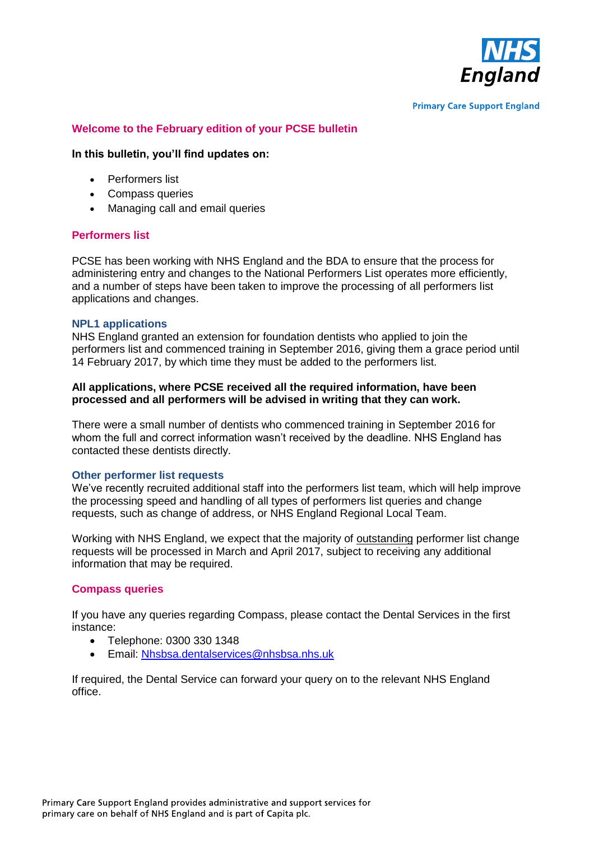

**Primary Care Support England** 

# **Welcome to the February edition of your PCSE bulletin**

### **In this bulletin, you'll find updates on:**

- Performers list
- Compass queries
- Managing call and email queries

### **Performers list**

PCSE has been working with NHS England and the BDA to ensure that the process for administering entry and changes to the National Performers List operates more efficiently, and a number of steps have been taken to improve the processing of all performers list applications and changes.

#### **NPL1 applications**

NHS England granted an extension for foundation dentists who applied to join the performers list and commenced training in September 2016, giving them a grace period until 14 February 2017, by which time they must be added to the performers list.

### **All applications, where PCSE received all the required information, have been processed and all performers will be advised in writing that they can work.**

There were a small number of dentists who commenced training in September 2016 for whom the full and correct information wasn't received by the deadline. NHS England has contacted these dentists directly.

# **Other performer list requests**

We've recently recruited additional staff into the performers list team, which will help improve the processing speed and handling of all types of performers list queries and change requests, such as change of address, or NHS England Regional Local Team.

Working with NHS England, we expect that the majority of outstanding performer list change requests will be processed in March and April 2017, subject to receiving any additional information that may be required.

# **Compass queries**

If you have any queries regarding Compass, please contact the Dental Services in the first instance:

- Telephone: 0300 330 1348
- Email: [Nhsbsa.dentalservices@nhsbsa.nhs.uk](mailto:Nhsbsa.dentalservices@nhsbsa.nhs.uk)

If required, the Dental Service can forward your query on to the relevant NHS England office.